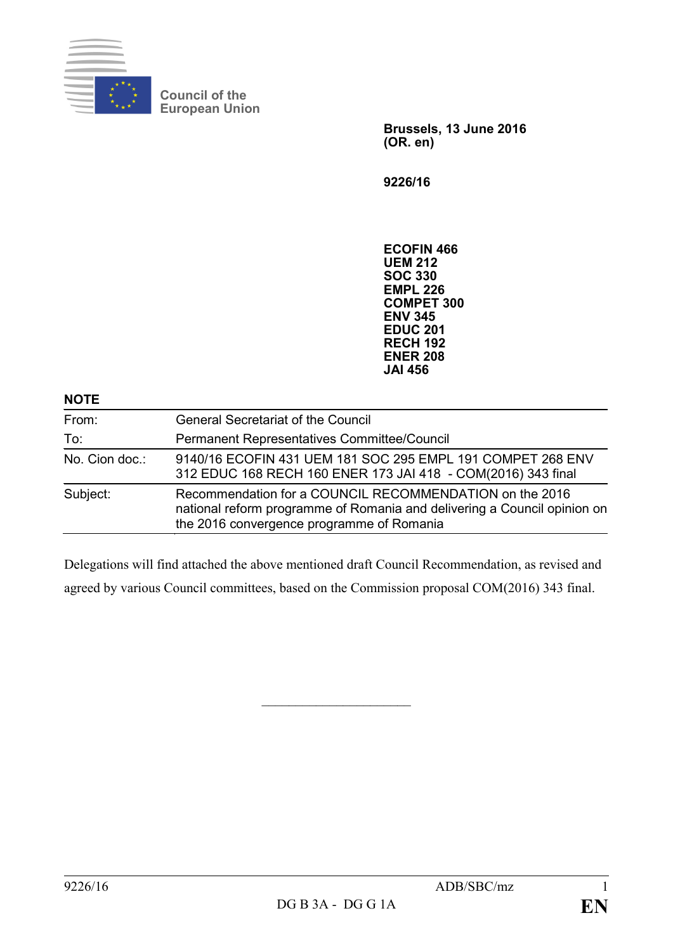

**Council of the European Union**

> **Brussels, 13 June 2016 (OR. en)**

**9226/16**

**ECOFIN 466 UEM 212 SOC 330 EMPL 226 COMPET 300 ENV 345 EDUC 201 RECH 192 ENER 208 JAI 456**

| <b>NOTE</b>    |                                                                                                                                                                                  |
|----------------|----------------------------------------------------------------------------------------------------------------------------------------------------------------------------------|
| From:          | <b>General Secretariat of the Council</b>                                                                                                                                        |
| To:            | Permanent Representatives Committee/Council                                                                                                                                      |
| No. Cion doc.: | 9140/16 ECOFIN 431 UEM 181 SOC 295 EMPL 191 COMPET 268 ENV<br>312 EDUC 168 RECH 160 ENER 173 JAI 418 - COM(2016) 343 final                                                       |
| Subject:       | Recommendation for a COUNCIL RECOMMENDATION on the 2016<br>national reform programme of Romania and delivering a Council opinion on<br>the 2016 convergence programme of Romania |

Delegations will find attached the above mentioned draft Council Recommendation, as revised and agreed by various Council committees, based on the Commission proposal COM(2016) 343 final.

 $\overline{\phantom{a}}$  , which is a set of the set of the set of the set of the set of the set of the set of the set of the set of the set of the set of the set of the set of the set of the set of the set of the set of the set of th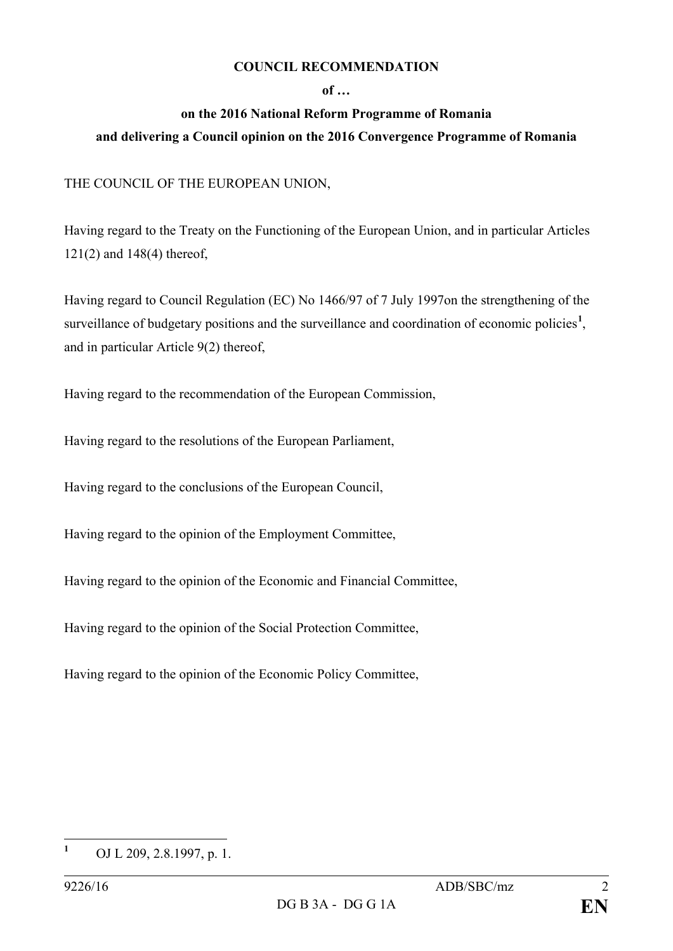## **COUNCIL RECOMMENDATION**

## **of …**

## **on the 2016 National Reform Programme of Romania and delivering a Council opinion on the 2016 Convergence Programme of Romania**

## THE COUNCIL OF THE EUROPEAN UNION,

Having regard to the Treaty on the Functioning of the European Union, and in particular Articles 121(2) and 148(4) thereof,

Having regard to Council Regulation (EC) No 1466/97 of 7 July 1997on the strengthening of the surveillance of budgetary positions and the surveillance and coordination of economic policies<sup>[1](#page-1-0)</sup>, and in particular Article 9(2) thereof,

Having regard to the recommendation of the European Commission,

Having regard to the resolutions of the European Parliament,

Having regard to the conclusions of the European Council,

Having regard to the opinion of the Employment Committee,

Having regard to the opinion of the Economic and Financial Committee,

Having regard to the opinion of the Social Protection Committee,

Having regard to the opinion of the Economic Policy Committee,

<span id="page-1-0"></span>**<sup>1</sup>** OJ L 209, 2.8.1997, p. 1.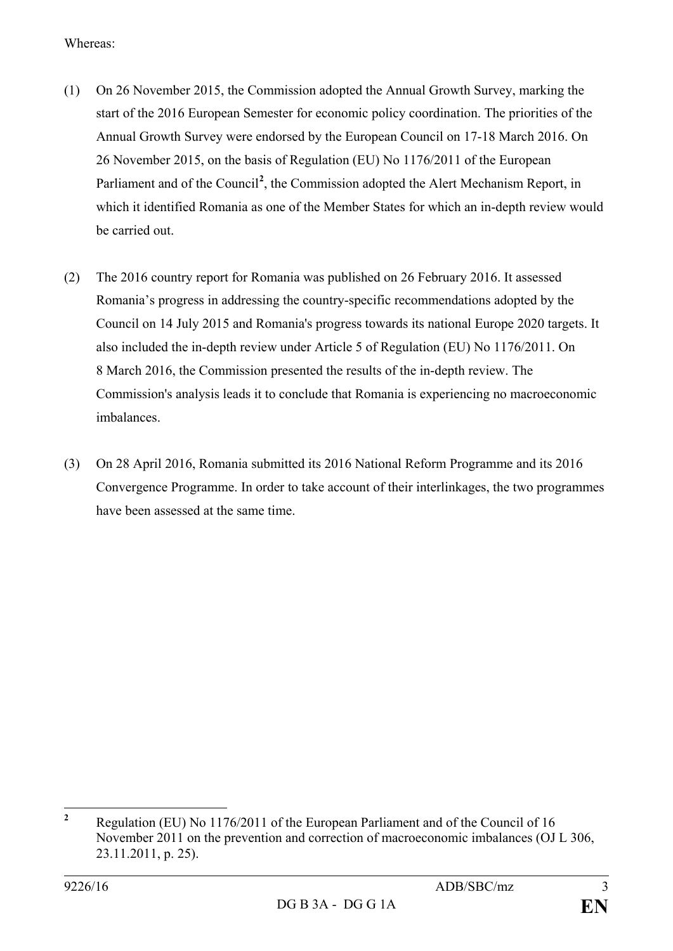Whereas:

- (1) On 26 November 2015, the Commission adopted the Annual Growth Survey, marking the start of the 2016 European Semester for economic policy coordination. The priorities of the Annual Growth Survey were endorsed by the European Council on 17-18 March 2016. On 26 November 2015, on the basis of Regulation (EU) No 1176/2011 of the European Parliament and of the Council<sup>[2](#page-2-0)</sup>, the Commission adopted the Alert Mechanism Report, in which it identified Romania as one of the Member States for which an in-depth review would be carried out.
- (2) The 2016 country report for Romania was published on 26 February 2016. It assessed Romania's progress in addressing the country-specific recommendations adopted by the Council on 14 July 2015 and Romania's progress towards its national Europe 2020 targets. It also included the in-depth review under Article 5 of Regulation (EU) No 1176/2011. On 8 March 2016, the Commission presented the results of the in-depth review. The Commission's analysis leads it to conclude that Romania is experiencing no macroeconomic imbalances.
- (3) On 28 April 2016, Romania submitted its 2016 National Reform Programme and its 2016 Convergence Programme. In order to take account of their interlinkages, the two programmes have been assessed at the same time.

<span id="page-2-0"></span>**<sup>2</sup>** Regulation (EU) No 1176/2011 of the European Parliament and of the Council of 16 November 2011 on the prevention and correction of macroeconomic imbalances (OJ L 306, 23.11.2011, p. 25).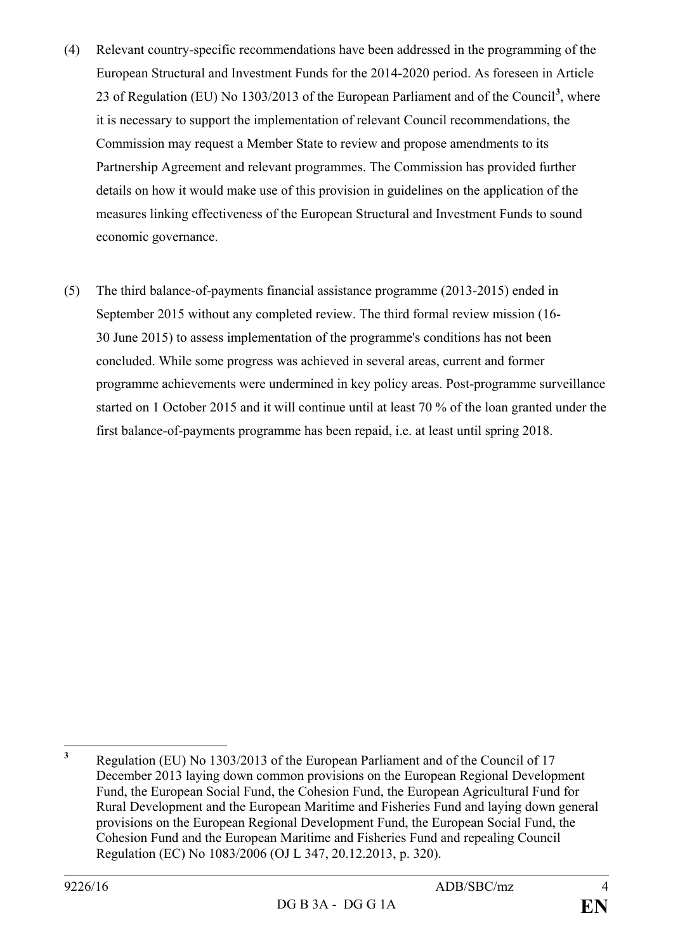- (4) Relevant country-specific recommendations have been addressed in the programming of the European Structural and Investment Funds for the 2014-2020 period. As foreseen in Article 23 of Regulation (EU) No 1303/2013 of the European Parliament and of the Council**[3](#page-3-0)** , where it is necessary to support the implementation of relevant Council recommendations, the Commission may request a Member State to review and propose amendments to its Partnership Agreement and relevant programmes. The Commission has provided further details on how it would make use of this provision in guidelines on the application of the measures linking effectiveness of the European Structural and Investment Funds to sound economic governance.
- (5) The third balance-of-payments financial assistance programme (2013-2015) ended in September 2015 without any completed review. The third formal review mission (16- 30 June 2015) to assess implementation of the programme's conditions has not been concluded. While some progress was achieved in several areas, current and former programme achievements were undermined in key policy areas. Post-programme surveillance started on 1 October 2015 and it will continue until at least 70 % of the loan granted under the first balance-of-payments programme has been repaid, i.e. at least until spring 2018.

<span id="page-3-0"></span>**<sup>3</sup>** Regulation (EU) No 1303/2013 of the European Parliament and of the Council of 17 December 2013 laying down common provisions on the European Regional Development Fund, the European Social Fund, the Cohesion Fund, the European Agricultural Fund for Rural Development and the European Maritime and Fisheries Fund and laying down general provisions on the European Regional Development Fund, the European Social Fund, the Cohesion Fund and the European Maritime and Fisheries Fund and repealing Council Regulation (EC) No 1083/2006 (OJ L 347, 20.12.2013, p. 320).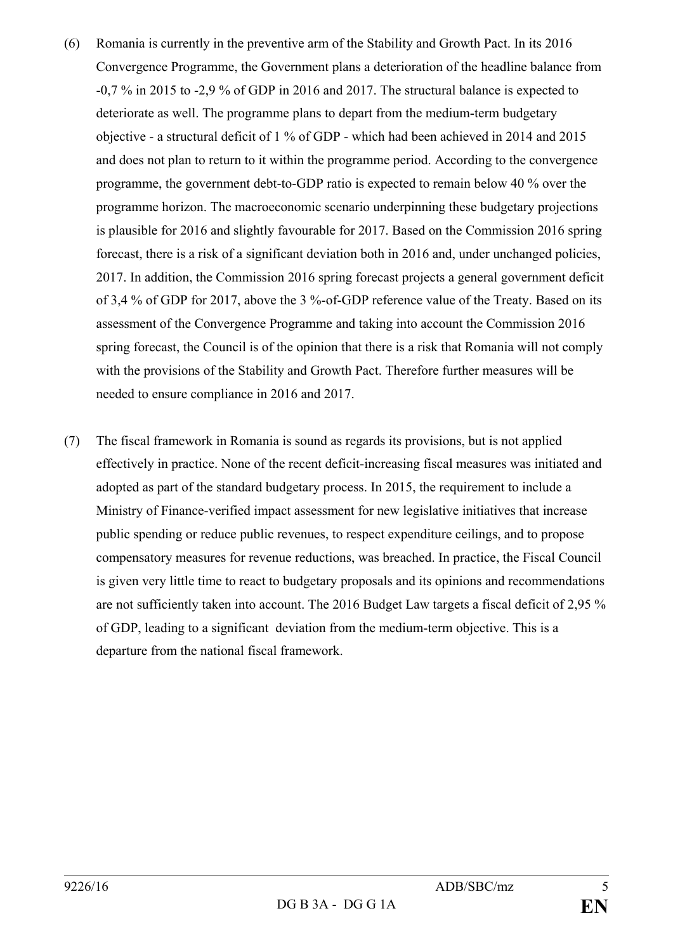- (6) Romania is currently in the preventive arm of the Stability and Growth Pact. In its 2016 Convergence Programme, the Government plans a deterioration of the headline balance from -0,7 % in 2015 to -2,9 % of GDP in 2016 and 2017. The structural balance is expected to deteriorate as well. The programme plans to depart from the medium-term budgetary objective - a structural deficit of 1 % of GDP - which had been achieved in 2014 and 2015 and does not plan to return to it within the programme period. According to the convergence programme, the government debt-to-GDP ratio is expected to remain below 40 % over the programme horizon. The macroeconomic scenario underpinning these budgetary projections is plausible for 2016 and slightly favourable for 2017. Based on the Commission 2016 spring forecast, there is a risk of a significant deviation both in 2016 and, under unchanged policies, 2017. In addition, the Commission 2016 spring forecast projects a general government deficit of 3,4 % of GDP for 2017, above the 3 %-of-GDP reference value of the Treaty. Based on its assessment of the Convergence Programme and taking into account the Commission 2016 spring forecast, the Council is of the opinion that there is a risk that Romania will not comply with the provisions of the Stability and Growth Pact. Therefore further measures will be needed to ensure compliance in 2016 and 2017.
- (7) The fiscal framework in Romania is sound as regards its provisions, but is not applied effectively in practice. None of the recent deficit-increasing fiscal measures was initiated and adopted as part of the standard budgetary process. In 2015, the requirement to include a Ministry of Finance-verified impact assessment for new legislative initiatives that increase public spending or reduce public revenues, to respect expenditure ceilings, and to propose compensatory measures for revenue reductions, was breached. In practice, the Fiscal Council is given very little time to react to budgetary proposals and its opinions and recommendations are not sufficiently taken into account. The 2016 Budget Law targets a fiscal deficit of 2,95 % of GDP, leading to a significant deviation from the medium-term objective. This is a departure from the national fiscal framework.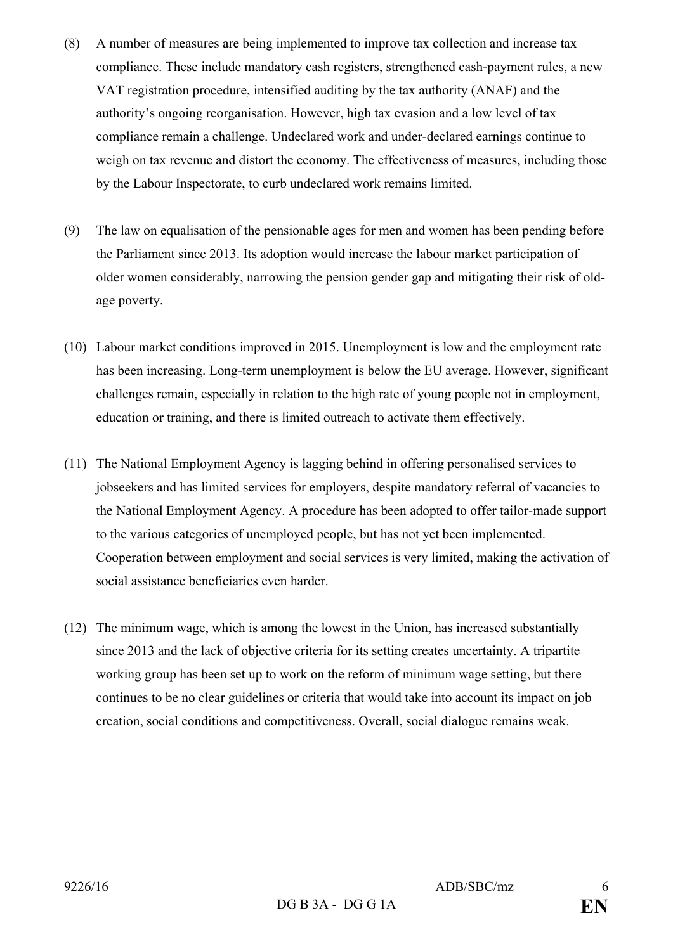- (8) A number of measures are being implemented to improve tax collection and increase tax compliance. These include mandatory cash registers, strengthened cash-payment rules, a new VAT registration procedure, intensified auditing by the tax authority (ANAF) and the authority's ongoing reorganisation. However, high tax evasion and a low level of tax compliance remain a challenge. Undeclared work and under-declared earnings continue to weigh on tax revenue and distort the economy. The effectiveness of measures, including those by the Labour Inspectorate, to curb undeclared work remains limited.
- (9) The law on equalisation of the pensionable ages for men and women has been pending before the Parliament since 2013. Its adoption would increase the labour market participation of older women considerably, narrowing the pension gender gap and mitigating their risk of oldage poverty.
- (10) Labour market conditions improved in 2015. Unemployment is low and the employment rate has been increasing. Long-term unemployment is below the EU average. However, significant challenges remain, especially in relation to the high rate of young people not in employment, education or training, and there is limited outreach to activate them effectively.
- (11) The National Employment Agency is lagging behind in offering personalised services to jobseekers and has limited services for employers, despite mandatory referral of vacancies to the National Employment Agency. A procedure has been adopted to offer tailor-made support to the various categories of unemployed people, but has not yet been implemented. Cooperation between employment and social services is very limited, making the activation of social assistance beneficiaries even harder.
- (12) The minimum wage, which is among the lowest in the Union, has increased substantially since 2013 and the lack of objective criteria for its setting creates uncertainty. A tripartite working group has been set up to work on the reform of minimum wage setting, but there continues to be no clear guidelines or criteria that would take into account its impact on job creation, social conditions and competitiveness. Overall, social dialogue remains weak.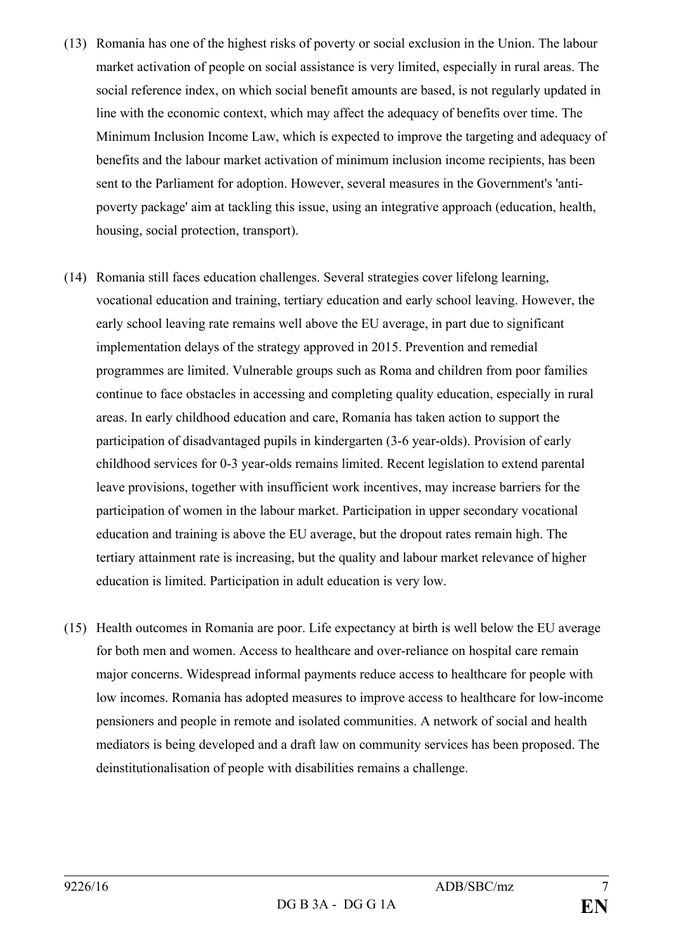- (13) Romania has one of the highest risks of poverty or social exclusion in the Union. The labour market activation of people on social assistance is very limited, especially in rural areas. The social reference index, on which social benefit amounts are based, is not regularly updated in line with the economic context, which may affect the adequacy of benefits over time. The Minimum Inclusion Income Law, which is expected to improve the targeting and adequacy of benefits and the labour market activation of minimum inclusion income recipients, has been sent to the Parliament for adoption. However, several measures in the Government's 'antipoverty package' aim at tackling this issue, using an integrative approach (education, health, housing, social protection, transport).
- (14) Romania still faces education challenges. Several strategies cover lifelong learning, vocational education and training, tertiary education and early school leaving. However, the early school leaving rate remains well above the EU average, in part due to significant implementation delays of the strategy approved in 2015. Prevention and remedial programmes are limited. Vulnerable groups such as Roma and children from poor families continue to face obstacles in accessing and completing quality education, especially in rural areas. In early childhood education and care, Romania has taken action to support the participation of disadvantaged pupils in kindergarten (3-6 year-olds). Provision of early childhood services for 0-3 year-olds remains limited. Recent legislation to extend parental leave provisions, together with insufficient work incentives, may increase barriers for the participation of women in the labour market. Participation in upper secondary vocational education and training is above the EU average, but the dropout rates remain high. The tertiary attainment rate is increasing, but the quality and labour market relevance of higher education is limited. Participation in adult education is very low.
- (15) Health outcomes in Romania are poor. Life expectancy at birth is well below the EU average for both men and women. Access to healthcare and over-reliance on hospital care remain major concerns. Widespread informal payments reduce access to healthcare for people with low incomes. Romania has adopted measures to improve access to healthcare for low-income pensioners and people in remote and isolated communities. A network of social and health mediators is being developed and a draft law on community services has been proposed. The deinstitutionalisation of people with disabilities remains a challenge.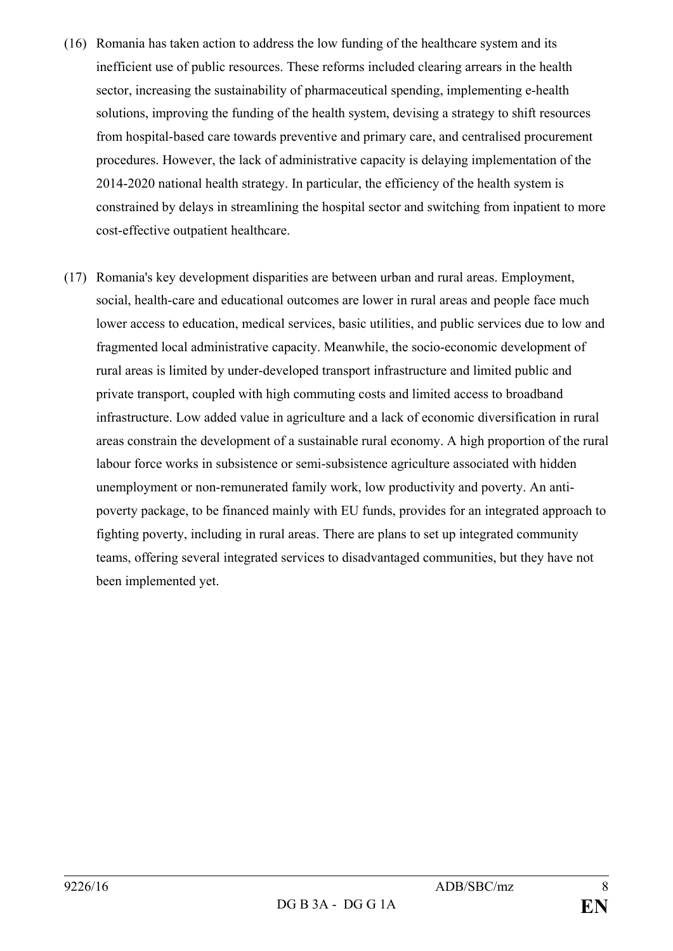- (16) Romania has taken action to address the low funding of the healthcare system and its inefficient use of public resources. These reforms included clearing arrears in the health sector, increasing the sustainability of pharmaceutical spending, implementing e-health solutions, improving the funding of the health system, devising a strategy to shift resources from hospital-based care towards preventive and primary care, and centralised procurement procedures. However, the lack of administrative capacity is delaying implementation of the 2014-2020 national health strategy. In particular, the efficiency of the health system is constrained by delays in streamlining the hospital sector and switching from inpatient to more cost-effective outpatient healthcare.
- (17) Romania's key development disparities are between urban and rural areas. Employment, social, health-care and educational outcomes are lower in rural areas and people face much lower access to education, medical services, basic utilities, and public services due to low and fragmented local administrative capacity. Meanwhile, the socio-economic development of rural areas is limited by under-developed transport infrastructure and limited public and private transport, coupled with high commuting costs and limited access to broadband infrastructure. Low added value in agriculture and a lack of economic diversification in rural areas constrain the development of a sustainable rural economy. A high proportion of the rural labour force works in subsistence or semi-subsistence agriculture associated with hidden unemployment or non-remunerated family work, low productivity and poverty. An antipoverty package, to be financed mainly with EU funds, provides for an integrated approach to fighting poverty, including in rural areas. There are plans to set up integrated community teams, offering several integrated services to disadvantaged communities, but they have not been implemented yet.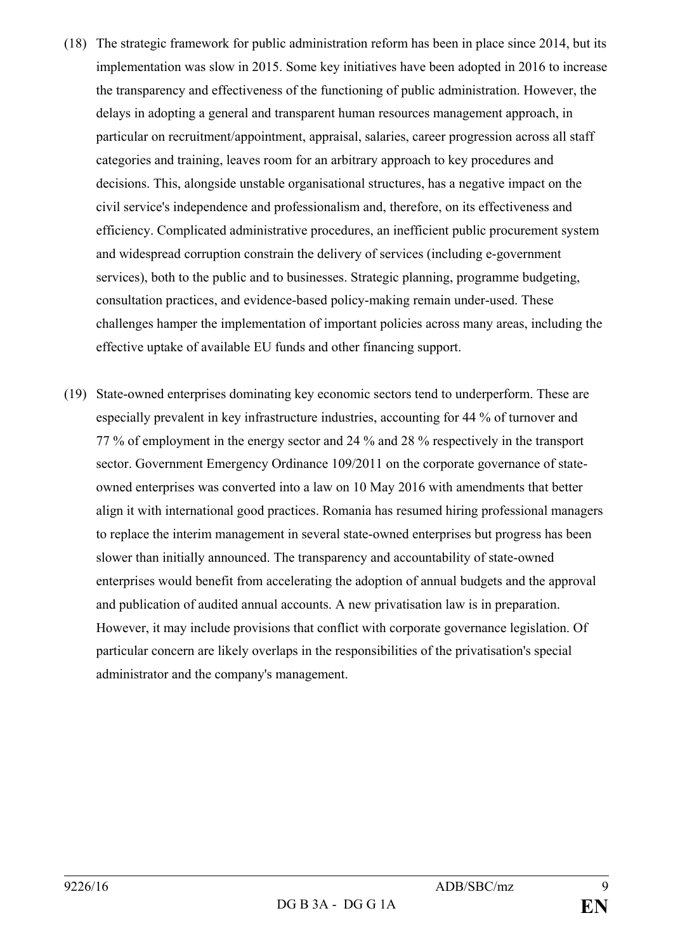- (18) The strategic framework for public administration reform has been in place since 2014, but its implementation was slow in 2015. Some key initiatives have been adopted in 2016 to increase the transparency and effectiveness of the functioning of public administration. However, the delays in adopting a general and transparent human resources management approach, in particular on recruitment/appointment, appraisal, salaries, career progression across all staff categories and training, leaves room for an arbitrary approach to key procedures and decisions. This, alongside unstable organisational structures, has a negative impact on the civil service's independence and professionalism and, therefore, on its effectiveness and efficiency. Complicated administrative procedures, an inefficient public procurement system and widespread corruption constrain the delivery of services (including e-government services), both to the public and to businesses. Strategic planning, programme budgeting, consultation practices, and evidence-based policy-making remain under-used. These challenges hamper the implementation of important policies across many areas, including the effective uptake of available EU funds and other financing support.
- (19) State-owned enterprises dominating key economic sectors tend to underperform. These are especially prevalent in key infrastructure industries, accounting for 44 % of turnover and 77 % of employment in the energy sector and 24 % and 28 % respectively in the transport sector. Government Emergency Ordinance 109/2011 on the corporate governance of stateowned enterprises was converted into a law on 10 May 2016 with amendments that better align it with international good practices. Romania has resumed hiring professional managers to replace the interim management in several state-owned enterprises but progress has been slower than initially announced. The transparency and accountability of state-owned enterprises would benefit from accelerating the adoption of annual budgets and the approval and publication of audited annual accounts. A new privatisation law is in preparation. However, it may include provisions that conflict with corporate governance legislation. Of particular concern are likely overlaps in the responsibilities of the privatisation's special administrator and the company's management.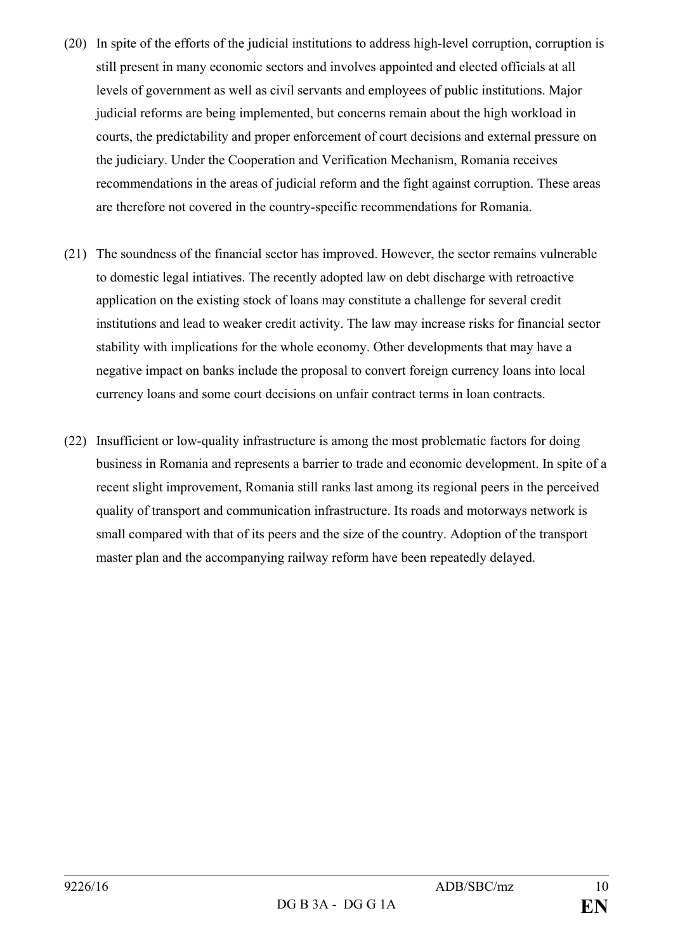- (20) In spite of the efforts of the judicial institutions to address high-level corruption, corruption is still present in many economic sectors and involves appointed and elected officials at all levels of government as well as civil servants and employees of public institutions. Major judicial reforms are being implemented, but concerns remain about the high workload in courts, the predictability and proper enforcement of court decisions and external pressure on the judiciary. Under the Cooperation and Verification Mechanism, Romania receives recommendations in the areas of judicial reform and the fight against corruption. These areas are therefore not covered in the country-specific recommendations for Romania.
- (21) The soundness of the financial sector has improved. However, the sector remains vulnerable to domestic legal intiatives. The recently adopted law on debt discharge with retroactive application on the existing stock of loans may constitute a challenge for several credit institutions and lead to weaker credit activity. The law may increase risks for financial sector stability with implications for the whole economy. Other developments that may have a negative impact on banks include the proposal to convert foreign currency loans into local currency loans and some court decisions on unfair contract terms in loan contracts.
- (22) Insufficient or low-quality infrastructure is among the most problematic factors for doing business in Romania and represents a barrier to trade and economic development. In spite of a recent slight improvement, Romania still ranks last among its regional peers in the perceived quality of transport and communication infrastructure. Its roads and motorways network is small compared with that of its peers and the size of the country. Adoption of the transport master plan and the accompanying railway reform have been repeatedly delayed.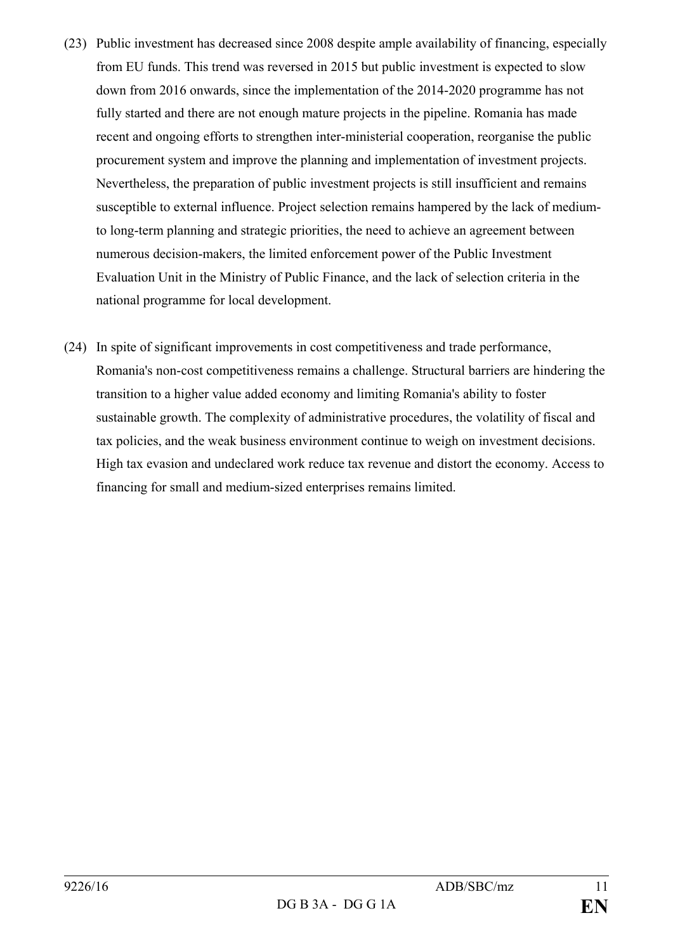- (23) Public investment has decreased since 2008 despite ample availability of financing, especially from EU funds. This trend was reversed in 2015 but public investment is expected to slow down from 2016 onwards, since the implementation of the 2014-2020 programme has not fully started and there are not enough mature projects in the pipeline. Romania has made recent and ongoing efforts to strengthen inter-ministerial cooperation, reorganise the public procurement system and improve the planning and implementation of investment projects. Nevertheless, the preparation of public investment projects is still insufficient and remains susceptible to external influence. Project selection remains hampered by the lack of mediumto long-term planning and strategic priorities, the need to achieve an agreement between numerous decision-makers, the limited enforcement power of the Public Investment Evaluation Unit in the Ministry of Public Finance, and the lack of selection criteria in the national programme for local development.
- (24) In spite of significant improvements in cost competitiveness and trade performance, Romania's non-cost competitiveness remains a challenge. Structural barriers are hindering the transition to a higher value added economy and limiting Romania's ability to foster sustainable growth. The complexity of administrative procedures, the volatility of fiscal and tax policies, and the weak business environment continue to weigh on investment decisions. High tax evasion and undeclared work reduce tax revenue and distort the economy. Access to financing for small and medium-sized enterprises remains limited.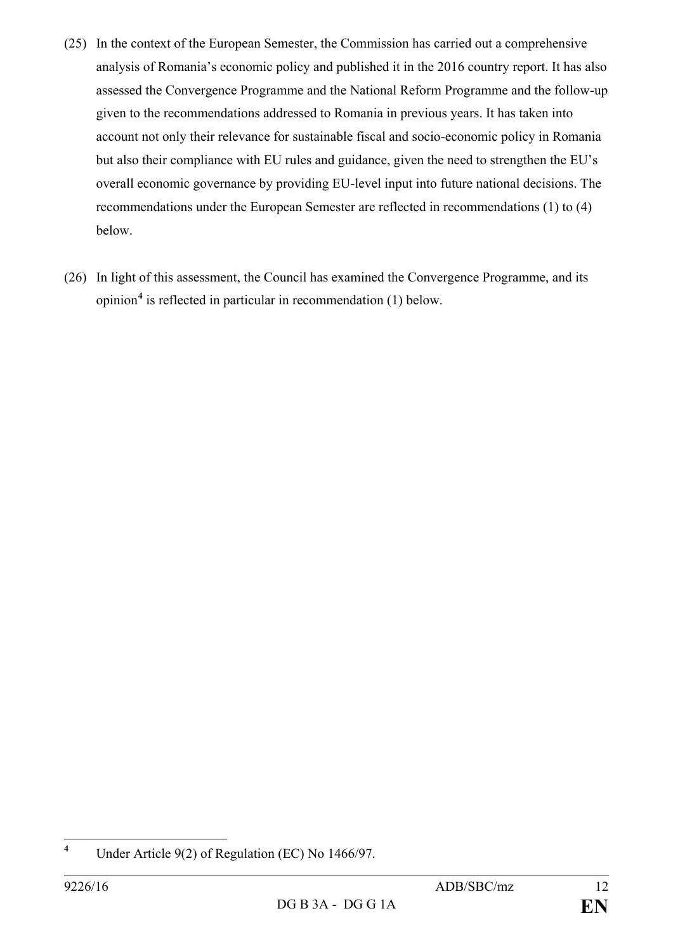- (25) In the context of the European Semester, the Commission has carried out a comprehensive analysis of Romania's economic policy and published it in the 2016 country report. It has also assessed the Convergence Programme and the National Reform Programme and the follow-up given to the recommendations addressed to Romania in previous years. It has taken into account not only their relevance for sustainable fiscal and socio-economic policy in Romania but also their compliance with EU rules and guidance, given the need to strengthen the EU's overall economic governance by providing EU-level input into future national decisions. The recommendations under the European Semester are reflected in recommendations (1) to (4) below.
- (26) In light of this assessment, the Council has examined the Convergence Programme, and its opinion**[4](#page-11-0)** is reflected in particular in recommendation (1) below.

<span id="page-11-0"></span>**<sup>4</sup>** Under Article 9(2) of Regulation (EC) No 1466/97.